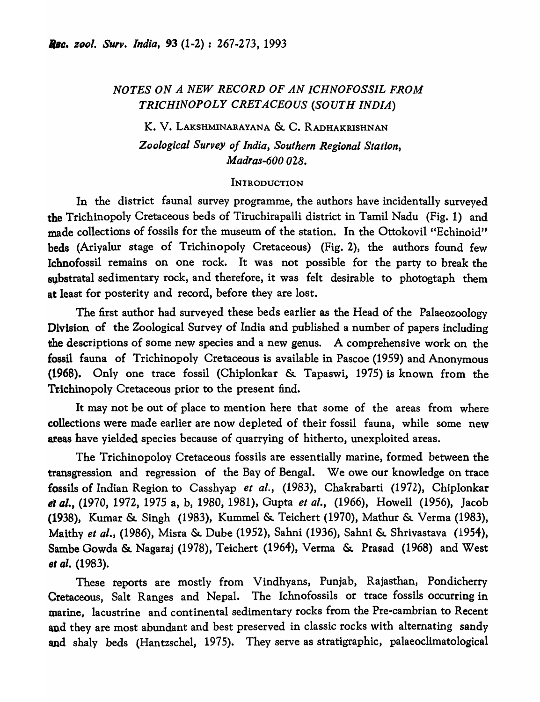# *NOTES ON A NEW RECORD OF AN ICHNOFOSSIL FROM TRICHINOPOLY CRETACEOUS (SOUTH INDIA)*

K. V. LAKSHMINARAYANA & C. RADHAKRISHNAN *Zoological Survey of India, Southern Regional Station, Madras-600 028.* 

# **INTRODUCTION**

In the district faunal survey programme, the authors have incidentally surveyed the Trichinopoly Cretaceous beds of Tiruchirapalli district in Tamil Nadu (Fig. 1) and made collections of fossils for the museum of the station. In the Ottokovil "Echinoid" beds (Ariyalur stage of Trichinopoly Cretaceous) (Fig. 2), the authors found few Ichnofossil remains on one rock. It was not possible for the party to break the substratal sedimentary rock, and therefore, it was felt desirable to photogtaph them at least for posterity and record, before they are lost.

The first author had surveyed these beds earlier as the Head of the Palaeozoology Division of the Zoological Survey of India and published a number of papers including the descriptions of some new species and a new genus. A comprehensive work on the fossil fauna of Trichinopoly Cretaceous is available in Pascoe (1959) and Anonymous (1968). Only one trace fossil (Chiplonkar & Tapaswi, 1975) is known from the Trichinopoly Cretaceous prior to the present find.

It may not be out of place to mention here that some of the areas from where collections were made earlier are now depleted of their fossil fauna, while some new areas have yielded species because of quarrying of hitherto, unexploited areas.

The Trichinopoloy Cretaceous fossils are essentially marine, formed between the transgression and regression of the Bay of Bengal. We owe our knowledge on trace fossils of Indian Region to Casshyap *et al.,* (1983), Chakrabarti (1972), Chiplonkar *el al.,* (1970, 1972, 1975 a, b, 1980, 1981), Gupta *et al.,* (1966), Howell (1956), Jacob (1938), Kumar & Singh (1983), Kummel & Teichert (1970), Mathur & Verma (1983), Maithy *et al.,* (1986), Misra & Dube (1952), Sahni (1936), Sahni & Shrivastava (1954), Sambe Gowda & Nagaraj (1978), Teichert (1964), Verma & Prasad (1968) and West *et al.* (1983).

These reports are mostly from Vindhyans, Punjab, Rajasthan, Pondicherry Cretaceous, Salt Ranges and Nepal. The Ichnofossils or trace fossils occurring in marine, lacustrine and continental sedimentary rocks from the Pre-cambrian to Recent and they are most abundant and best preserved in classic rocks with alternating sandy and shaly beds (Hantzschel, 1975). They serve as stratigraphic, palaeoclimatological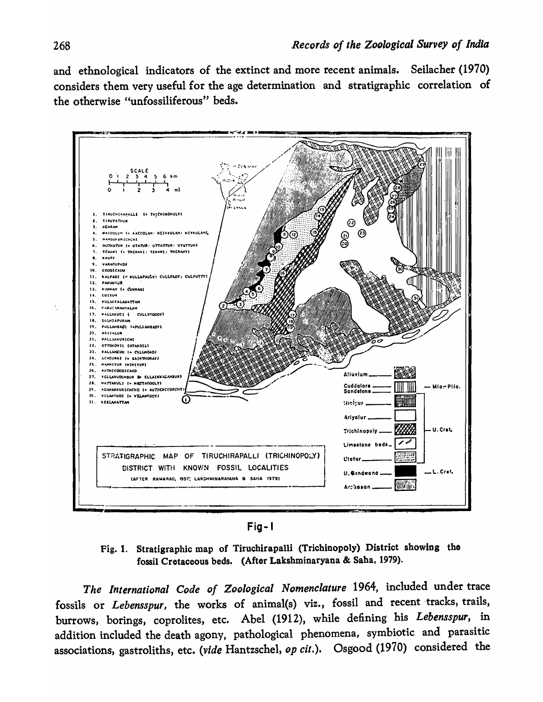and ethnological indicators of the extinct and more recent animals. Seilacher (1970) considers them very useful for the age determination and stratigraphic correlation of the otherwise "unfossiliferous" beds.



Fig-I

Fig. 1. Stratigraphic map of Tiruchirapalli (Trichinopoly) District showing the fossil Cretaceous beds. (After Lakshminaryana & Saha, 1979).

*The International Code of Zoological Nomenclature* 1964, included under trace fossils or *Lebensspur*, the works of animal(s) viz., fossil and recent tracks, trails, burrows, borings, coprolites, etc. Abel (1912), while defining his *Lebensspur,* in addition included the death agony, pathological phenomena, symbiotic and parasitic associations, gastroliths, etc. *(vide* Hantzschel, *op cit.).* Osgood (1970) considered the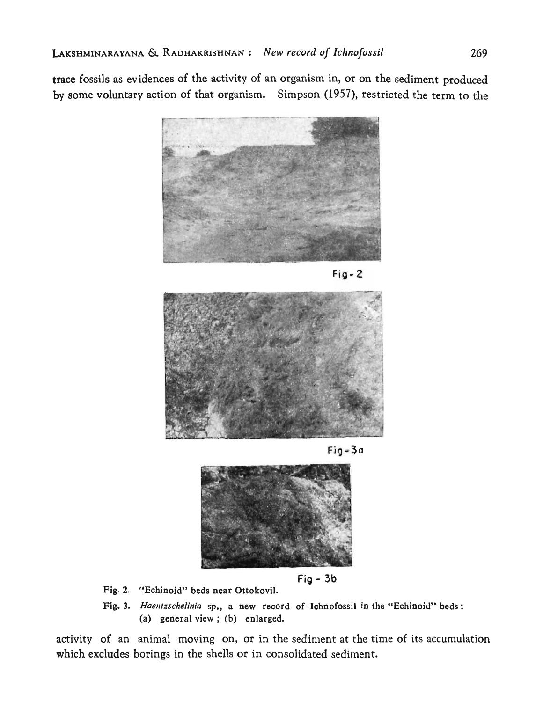trace fossils as evidences of the activity of an organism in, or on the sediment produced by some voluntary action of that organism. Simpson (1957), restricted the term to the



 $Fig - 2$ 



Fig - 30



 $Fig - 3b$ 

- Fig. 2. "Echinoid" beds near Ottokovil.
- Fig. 3. *Haentzschelinia* sp., a new record of Ichnofossil in the "Echinoid" beds: (a) general view ; (b) enlarged.

activity of an animal moving on, or in the sediment at the time of its accumulation which excludes borings in the shells or in consolidated sediment.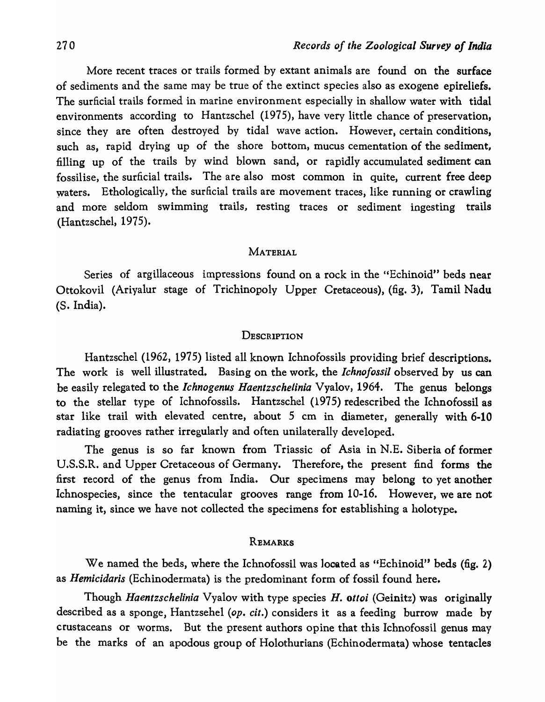More recent traces or trails formed by extant animals are found on the surface of sediments and the same may be true of the extinct species also as exogene epireliefs. The surficial trails formed in marine environment especially in shallow water with tidal environments according to Hantzschel (1975), have very little chance of preservation, since they are often destroyed by tidal wave action. However, certain conditions, such as, rapid drying up of the shore bottom, mucus cementation of the sediment, filling up of the trails by wind blown sand, or rapidly accumulated sediment can fossilise, the surficial trails. The are also most common in quite, current free deep waters. Ethologically, the surficial trails are movement traces, like running or crawling and more seldom swimming trails, resting traces or sediment ingesting trails (Hantzschel, 1975).

## MATERIAL

Series of argillaceous impressions found on a rock in the "Echinoid" beds near Ottokovil (Ariyalur stage of Trichinopoly Upper Cretaceous), (fig. 3), Tamil Nadu (S. India).

# **DESCRIPTION**

Hantzschel (1962, 1975) listed all known Ichnofossils providing brief descriptions, The work is well illustrated. Basing on the work, the *Ichnofossil* observed by us can be easily relegated to the *lchnogenus Haentzschelinia* Vyalov, 1964. The genus belongs to the stellar type of Ichnofossils. Hantzschel (1975) redescribed the Ichnofossil as star like trail with elevated centre, about 5 cm in diameter, generally with 6-10 radiating grooves rather irregularly and often unilaterally developed.

The genus is so far known from Triassic of Asia in N.E. Siberia of former U.S.S.R. and Upper Cretaceous of Germany. Therefore, the present find forms the first record of the genus from India. Our specimens may belong to yet another Ichnospecies, since the tentacular grooves range from 10-16. However, we are not naming it, since we have not collected the specimens for establishing a holotype.

## REMARKS

We named the beds, where the Ichnofossil was located as "Echinoid" beds (fig. 2) as *Hemicidaris* (Echinodermata) is the predominant form of fossil found here.

Though *Haentzschelinia* Vyalov with type species *H. ottoi* (Geinitz) was originally described as a sponge, Hantzsehel *(op. cit.)* considers it as a feeding burrow made by crustaceans or worms. But the present authors opine that this Ichnofossil genus may be the marks of an apodous group of Holothurians (Echinodermata) whose tentacles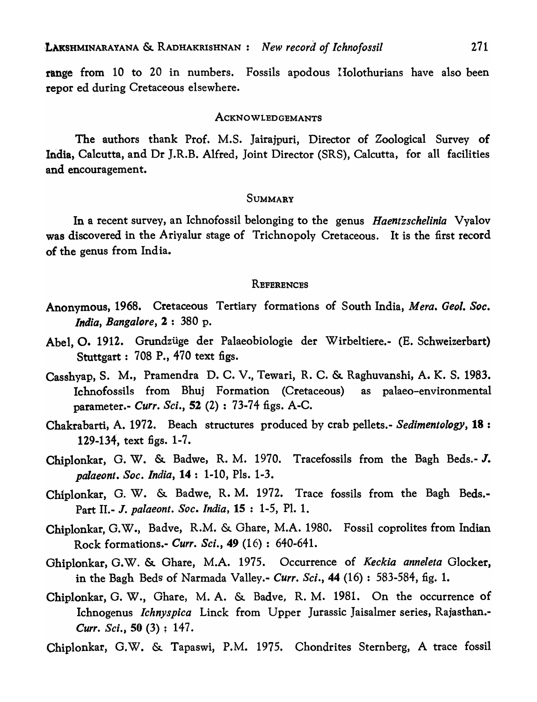range from 10 to 20 in numbers. Fossils apodous IIolothurians have also been repor ed during Cretaceous elsewhere.

### ACKNOWLEDGEMANTS

The authors thank Prof. M.S. Jairajpuri, Director of Zoological Survey of India, Calcutta, and Dr J.R.B. Alfred, Joint Director (SRS), Calcutta, for all facilities and encouragement.

### SUMMARY

In a recent survey, an Ichnofossil belonging to the genus *Haentzschelinia* Vyalov was discovered in the Ariyalur stage of Trichnopoly Cretaceous. It is the first record of the genus from India.

### **REFERENCES**

- Anonymous, 1968. Cretaceous Tertiary formations of South India, *Mera. Geol. Soc. India, Bangalore,* 2 : 380 p.
- Abel, O. 1912. Grundziige der Palaeobiologie der Wirbeltiere.- (B. Schweizerbart) Stuttgart: 708 P., 470 text figs.
- Casshyap, S. M., Pramendra D. C. V., Tewari, R. C. & Raghuvanshi, A. K. S. 1983. Ichnofossils from Bhuj Formation (Cretaceous) as palaeo-environmental parameter.- *Curr. Sci.,* 52 (2) : 73-74 figs. A-C.
- Chakrabarti, A. 1972. Beach structures produced by crab pellets.- *Sedimentology,* 18 : 129-134, text figs. 1-7.
- Chiplonkar, G. W. & Badwe, R. M. 1970. Tracefossils from the Bagh Beds.- J. *palaeont. Soc. India,* 14: 1-10, PIs. 1-3.
- Chiplonkar, G. W. & Badwe, R. M. 1972. Trace fossils from the Bagh Beds.- Part 11.- 1. *palaeont. Soc. India,* 15 : 1-5, PI. 1.
- Chiplonkar, G.W., Badve, R.M. & Ohare, M.A. 1980. Fossil coprolites from Indian Rock formations.- *Curr. Sci.,* 49 (16) : 640-641.
- Ghiplonkar, G.W. & Ghare, M.A. 1975. Occurrence of *Keckia anneleta* Glocker, in the Bagh Beds of Narmada Valley.- *Curr. Sci.*, 44 (16): 583-584, fig. 1.
- Chiplonkar, G. W., Ghare, M. A. & Badve, R. M. 1981. On the occurrence of Ichnogenus *Ichnyspica* Linck from Upper Jurassic Jaisalmer series, Rajasthan.- *Curr. Sci.*, 50 (3): 147.
- Chiplonkar, G.W. & Tapaswi, P.M. 1975. Chondrites Sternberg, A trace fossil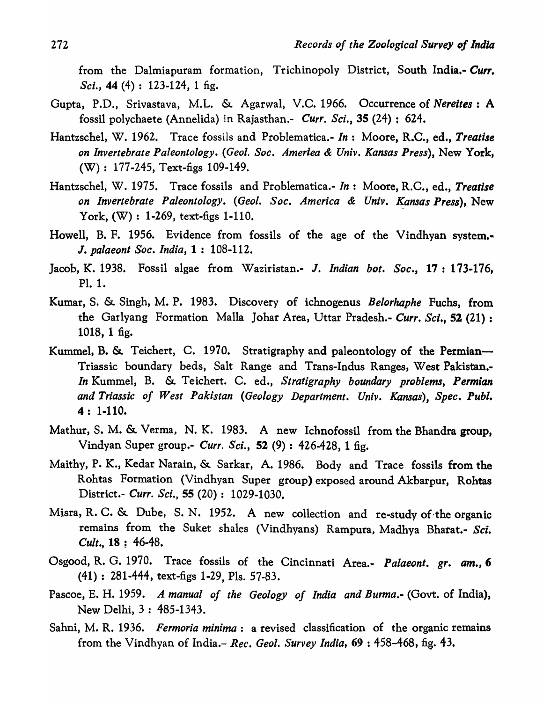from the Dalmiapuram formation, Trichinopoly District, South India.- *Curr. Sci.*, 44 (4): 123-124, 1 fig.

- Gupta, P.D., Srivastava, M.L. & Agarwal, V.C. 1966. Occurrence of *Nereites* : A fossil polychaete (Annelida) in Rajasthan.- *Curr. Sci.*, 35 (24): 624.
- Hantzschel, W. 1962. Trace fossils and Problematica.- *In:* Moore, R.C., ed., *Treatise on Invertebrate Paleontology. (Geol. Soc. Ameriea* & *Univ. Kansas Press),* New York, (W): 177-245, Text-figs 109-149.
- Hantzschel, W. 1975. Trace fossils and Problematica.- *In:* Moore, R.C., ed., *Treatise on Invertebrate Paleontology. (Geol. Soc. America* & *Univ. K.ansas Press),* New York,  $(W): 1-269$ , text-figs 1-110.
- Howell, B. F. 1956. Evidence from fossils of the age of the Vindhyan system.-J. *palaeont Soc. India,* 1 : 108-112.
- Jacob, K. 1938. Fossil algae from Waziristan.- J. *Indian bot. Soc.,* 17: 173-176, PI. 1.
- Kumar, S. &. Singh, M. P. 1983. Discovery of ichnogenus *Belorhaphe* Fuchs, from the Garlyang Formation Malla Johar Area, Uttar Pradesh.- *Curr. Sci.*, 52 (21): 1018, 1 fig.
- Kummel, B. & Teichert, C. 1970. Stratigraphy and paleontology of the Permian— Triassic boundary beds, Salt Range and Trans-Indus Ranges, West Pakistan.- *In* Kummel, B. &. Teichert. C. ed., *Stratigraphy boundary problems, Permian and Triassic of West Pakistan (Geology Department. Univ. Kansas), Spec. Publ.*  4: 1-110.
- Mathur, S. M. &. Verma, N. K. 1983. A new Ichnofossil from the Bhandra group, Vindyan Super group.- *Curr. Sci.*, 52 (9): 426-428, 1 fig.
- Maithy, P. K., Kedar Narain, &. Sarkar, A. 1986. Body and Trace fossils from the Rohtas Formation (Vindhyan Super group) exposed around Akbarpur, Rohtas District.- *Curr. Sci.*, 55 (20): 1029-1030.
- Misra, R. C. &. Dube, S. N. 1952. A new collection and re-study of-the organic remains from the Suket shales (Vindhyans) Rampura, Madhya Bharat.- *Sci. Cult.,* 18 ; 46-48.
- Osgood, R. G. 1970. Trace fossils of the Cincinnati Area... *Palaeont. gr. am., 6*  (41) : 281-444, text-figs 1-29, PIs. 57-83.
- Pascoe, E. H. 1959. *A manual of the Geology of India and Burma.-* (Govt. of India), New Delhi, 3 : 485-1343.
- Sahni, M. R. 1936. *Fermoria minima:* a revised classification of the organic remains from the Vindhyan of India.- *Rec. Geol. Survey India,* 69 : 458-468, fig. 43.